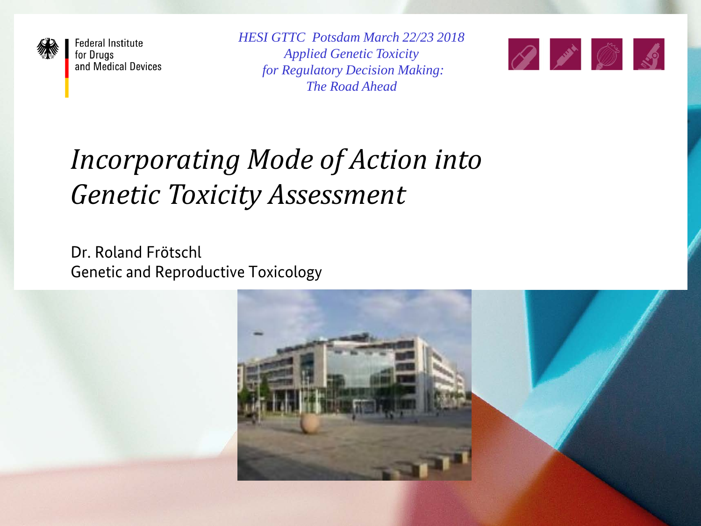

**Federal Institute** for Drugs and Medical Devices *HESI GTTC Potsdam March 22/23 2018 Applied Genetic Toxicity for Regulatory Decision Making: The Road Ahead*



## *Incorporating Mode of Action into Genetic Toxicity Assessment*

Dr. Roland Frötschl Genetic and Reproductive Toxicology

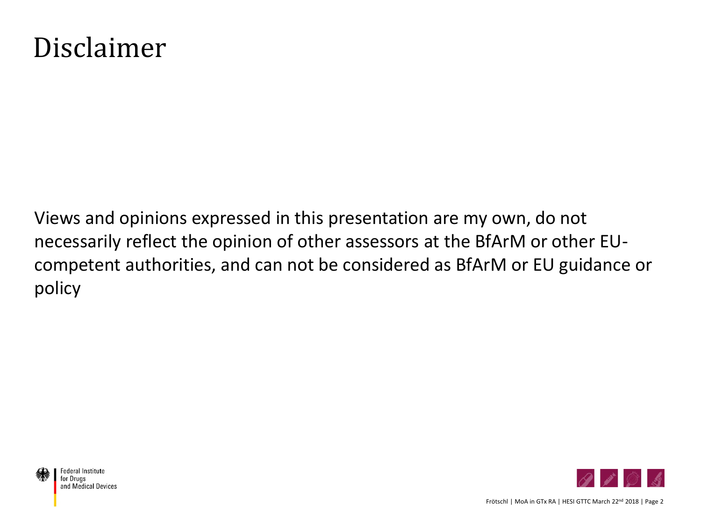#### Disclaimer

Views and opinions expressed in this presentation are my own, do not necessarily reflect the opinion of other assessors at the BfArM or other EUcompetent authorities, and can not be considered as BfArM or EU guidance or policy



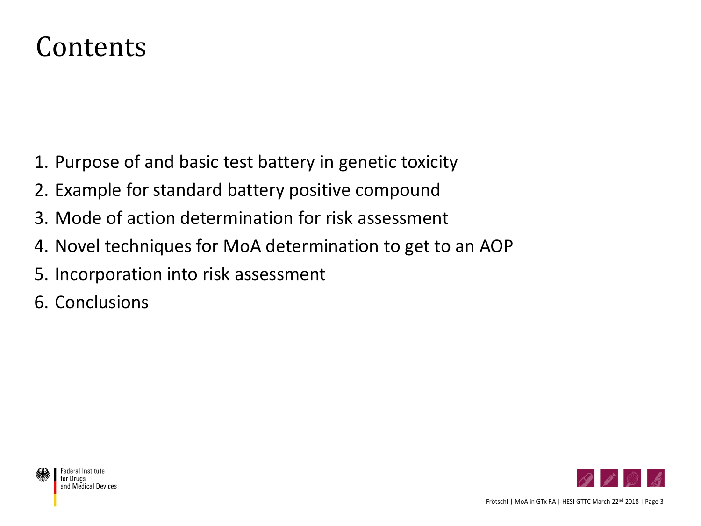#### Contents

- 1. Purpose of and basic test battery in genetic toxicity
- 2. Example for standard battery positive compound
- 3. Mode of action determination for risk assessment
- 4. Novel techniques for MoA determination to get to an AOP
- 5. Incorporation into risk assessment
- 6. Conclusions



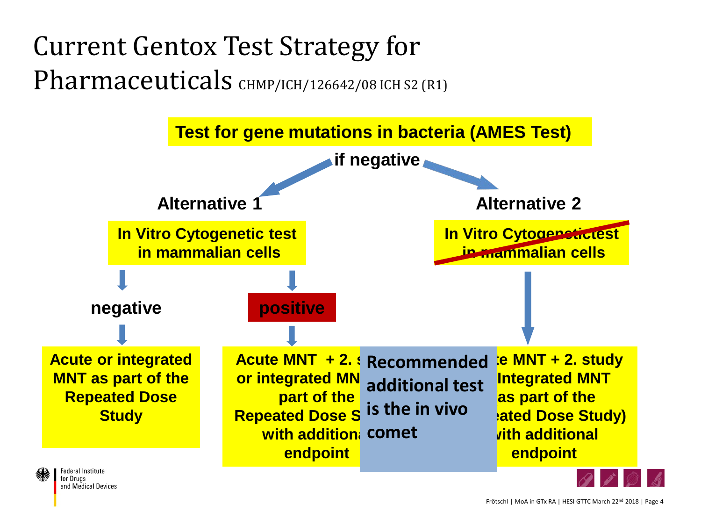Current Gentox Test Strategy for Pharmaceuticals CHMP/ICH/126642/08 ICH S2 (R1)

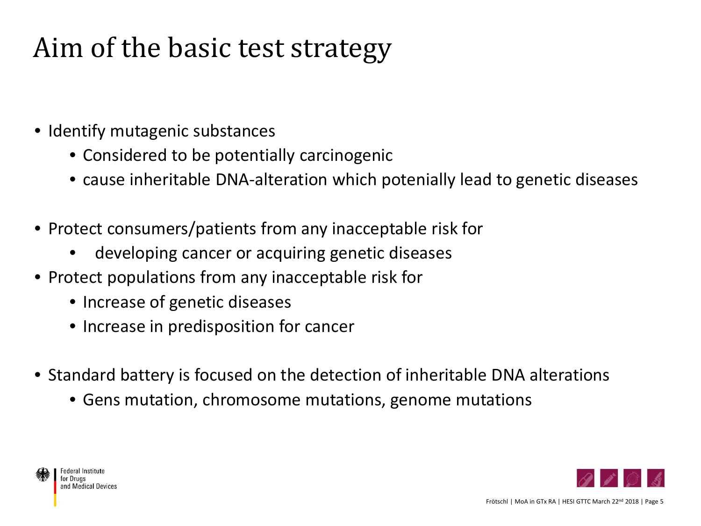#### Aim of the basic test strategy

- Identify mutagenic substances
	- Considered to be potentially carcinogenic
	- cause inheritable DNA-alteration which potenially lead to genetic diseases
- Protect consumers/patients from any inacceptable risk for
	- developing cancer or acquiring genetic diseases
- Protect populations from any inacceptable risk for
	- Increase of genetic diseases
	- Increase in predisposition for cancer
- Standard battery is focused on the detection of inheritable DNA alterations
	- Gens mutation, chromosome mutations, genome mutations



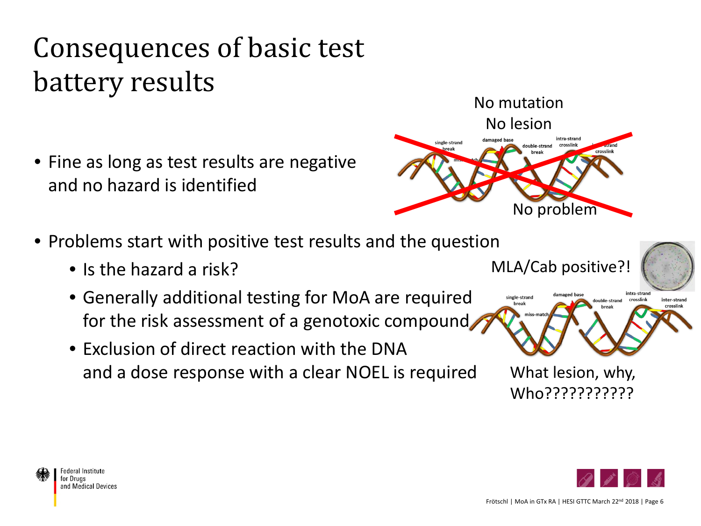# Consequences of basic test battery results No mutation

- Fine as long as test results are negative and no hazard is identified
- Problems start with positive test results and the question
	- Is the hazard a risk?
	- Generally additional testing for MoA are required for the risk assessment of a genotoxic compound
	- Exclusion of direct reaction with the DNA and a dose response with a clear NOEL is required



single-strand



MLA/Cab positive?!

lamaged base



intra-strand

inter-strand crosslink

double-strand crosslink

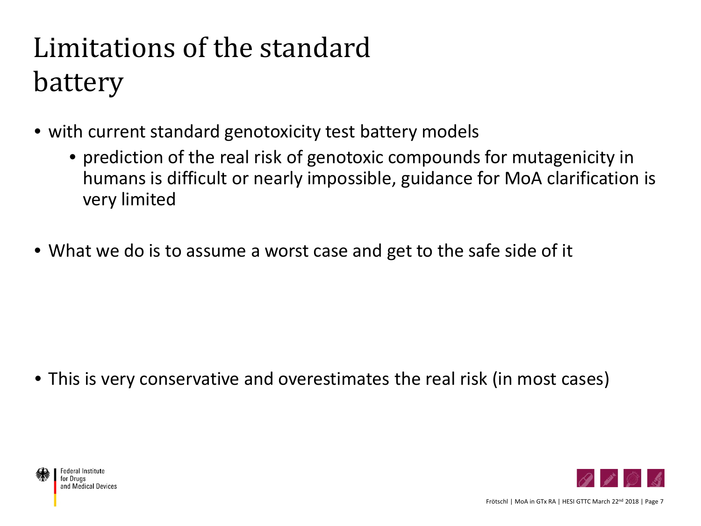# Limitations of the standard battery

- with current standard genotoxicity test battery models
	- prediction of the real risk of genotoxic compounds for mutagenicity in humans is difficult or nearly impossible, guidance for MoA clarification is very limited
- What we do is to assume a worst case and get to the safe side of it

• This is very conservative and overestimates the real risk (in most cases)



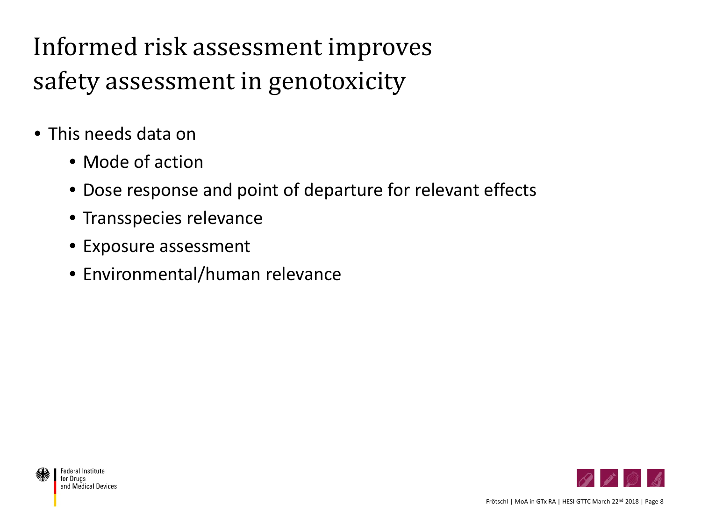Informed risk assessment improves safety assessment in genotoxicity

- This needs data on
	- Mode of action
	- Dose response and point of departure for relevant effects
	- Transspecies relevance
	- Exposure assessment
	- Environmental/human relevance

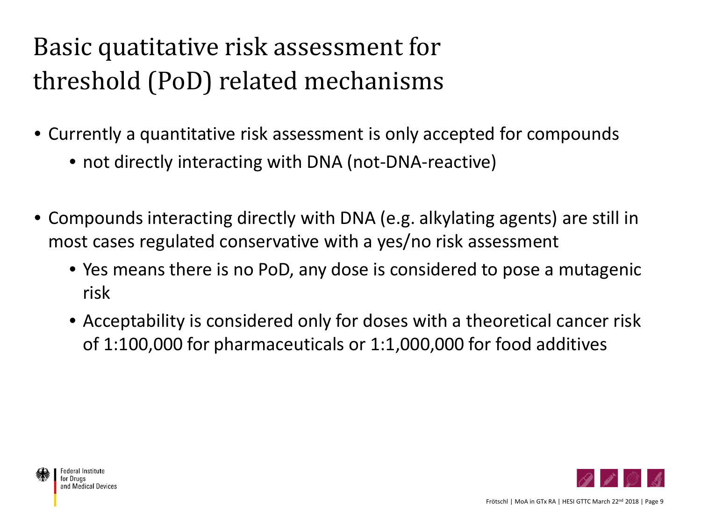#### Basic quatitative risk assessment for threshold (PoD) related mechanisms

- Currently a quantitative risk assessment is only accepted for compounds
	- not directly interacting with DNA (not-DNA-reactive)
- Compounds interacting directly with DNA (e.g. alkylating agents) are still in most cases regulated conservative with a yes/no risk assessment
	- Yes means there is no PoD, any dose is considered to pose a mutagenic risk
	- Acceptability is considered only for doses with a theoretical cancer risk of 1:100,000 for pharmaceuticals or 1:1,000,000 for food additives

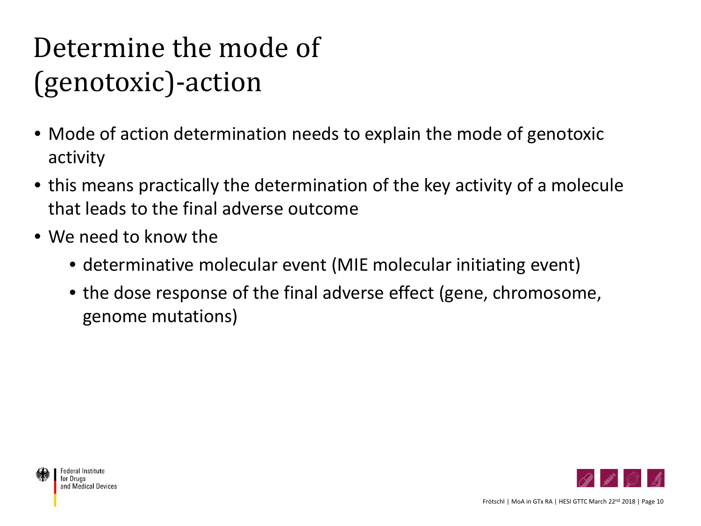## Determine the mode of (genotoxic)-action

- Mode of action determination needs to explain the mode of genotoxic activity
- this means practically the determination of the key activity of a molecule that leads to the final adverse outcome
- We need to know the
	- determinative molecular event (MIE molecular initiating event)
	- the dose response of the final adverse effect (gene, chromosome, genome mutations)

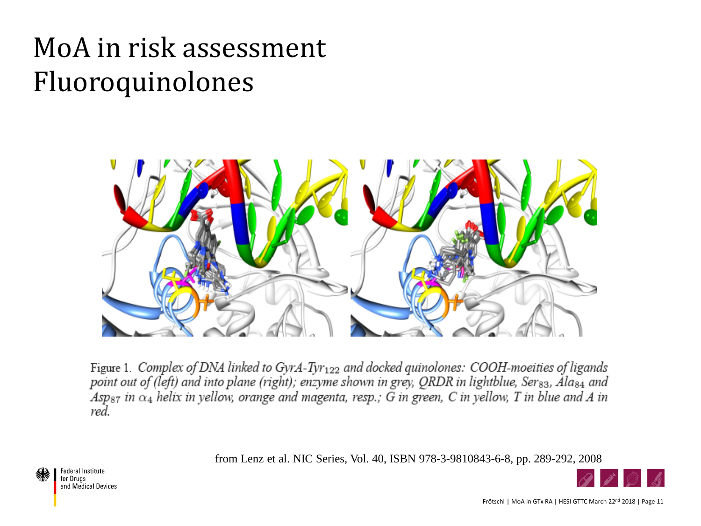#### MoA in risk assessment Fluoroquinolones



Figure 1. Complex of DNA linked to GyrA-Tyr<sub>122</sub> and docked quinolones: COOH-moeities of ligands point out of (left) and into plane (right); enzyme shown in grey, QRDR in lightblue, Ser<sub>83</sub>, Ala<sub>84</sub> and  $Asp_{87}$  in  $\alpha_4$  helix in yellow, orange and magenta, resp.; G in green, C in yellow, T in blue and A in red.

from Lenz et al. NIC Series, Vol. 40, ISBN 978-3-9810843-6-8, pp. 289-292, 2008



**Federal Institute** for Druas and Medical Devices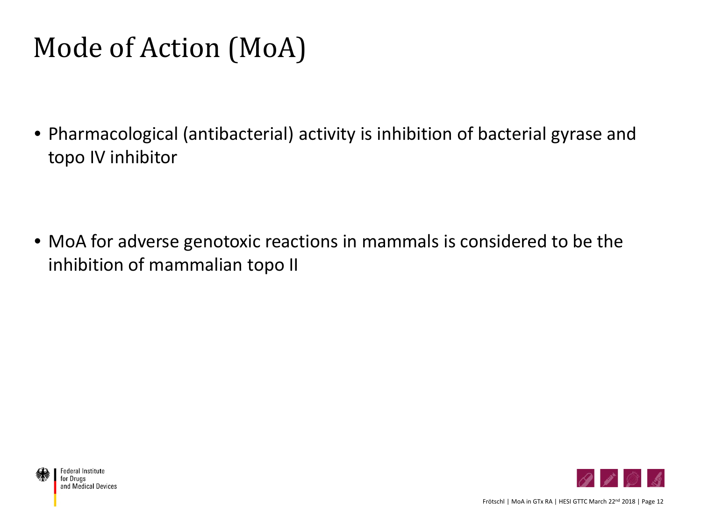### Mode of Action (MoA)

• Pharmacological (antibacterial) activity is inhibition of bacterial gyrase and topo IV inhibitor

• MoA for adverse genotoxic reactions in mammals is considered to be the inhibition of mammalian topo II



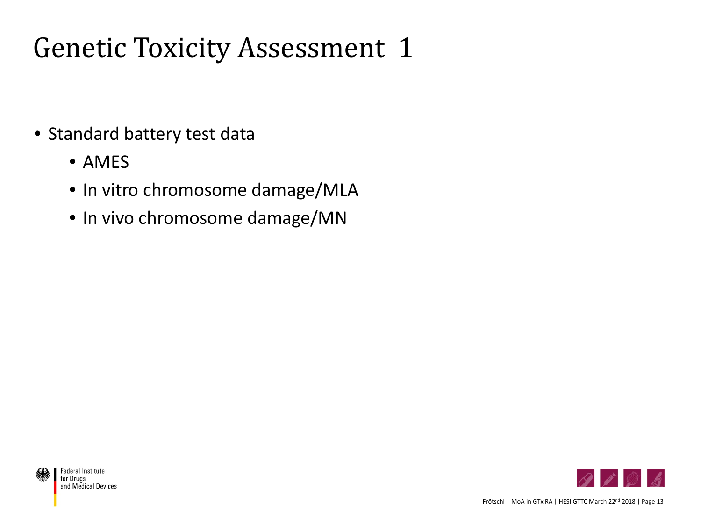#### Genetic Toxicity Assessment 1

- Standard battery test data
	- AMES
	- In vitro chromosome damage/MLA
	- In vivo chromosome damage/MN



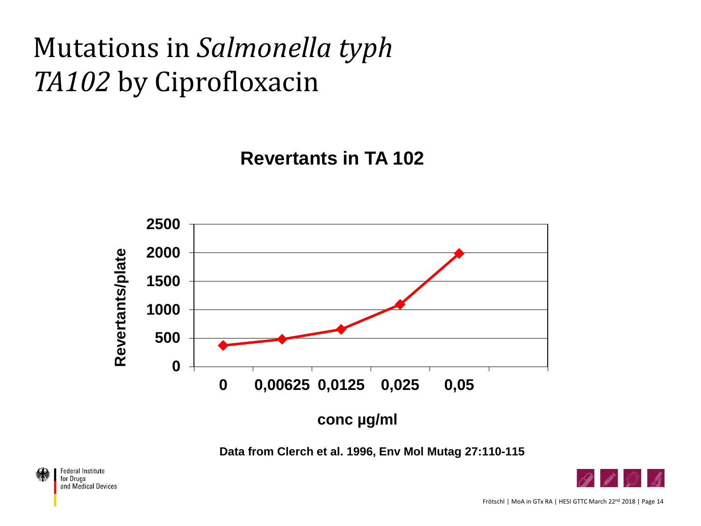#### Mutations in *Salmonella typh TA102* by Ciprofloxacin

**Revertants in TA 102** 



**Data from Clerch et al. 1996, Env Mol Mutag 27:110-115**



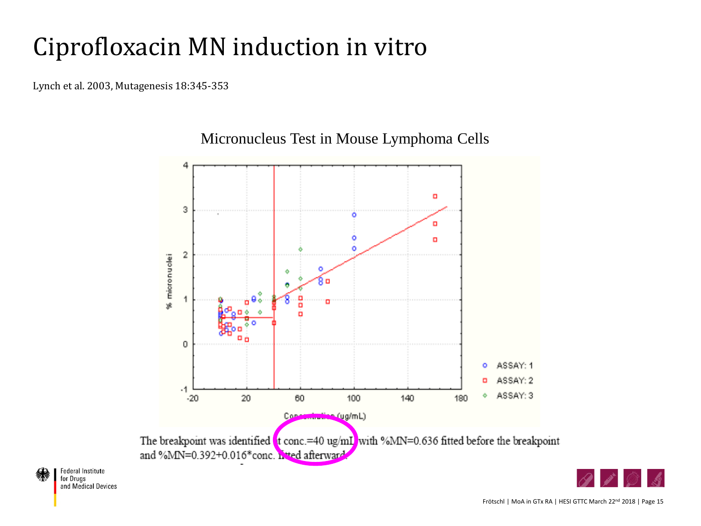#### Ciprofloxacin MN induction in vitro

Lynch et al. 2003, Mutagenesis 18:345-353



#### Micronucleus Test in Mouse Lymphoma Cells



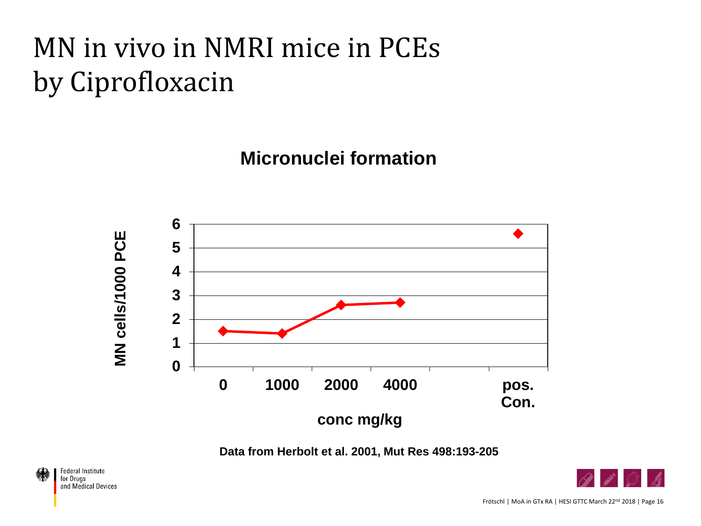## MN in vivo in NMRI mice in PCEs by Ciprofloxacin

**Micronuclei formation** 



**Data from Herbolt et al. 2001, Mut Res 498:193-205**

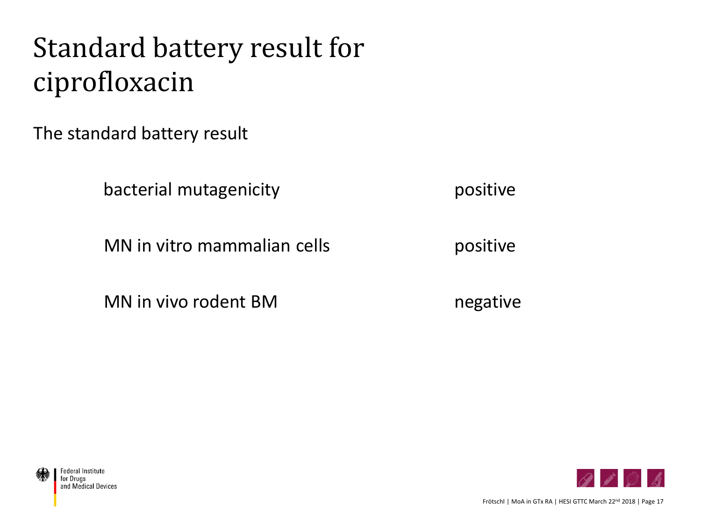#### Standard battery result for ciprofloxacin

The standard battery result

bacterial mutagenicity **positive** bacterial mutagenicity

MN in vitro mammalian cells **positive** 

MN in vivo rodent BM negative



Frötschl | MoA in GTx RA | HESI GTTC March 22<sup>nd</sup> 2018 | Page 17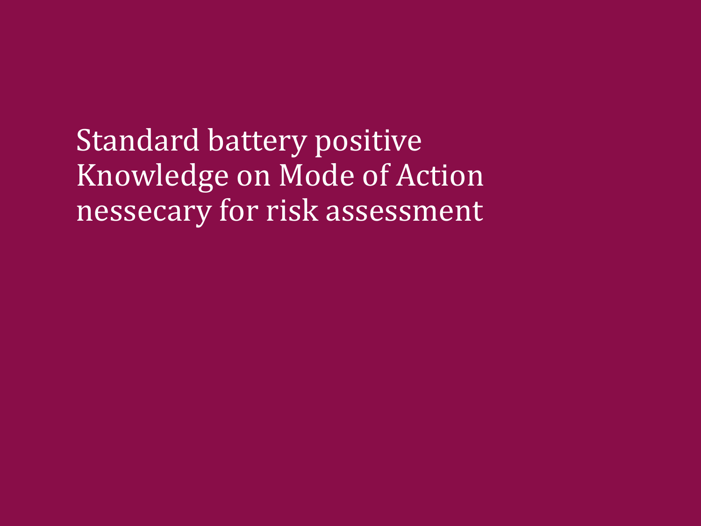Standard battery positive Knowledge on Mode of Action nessecary for risk assessment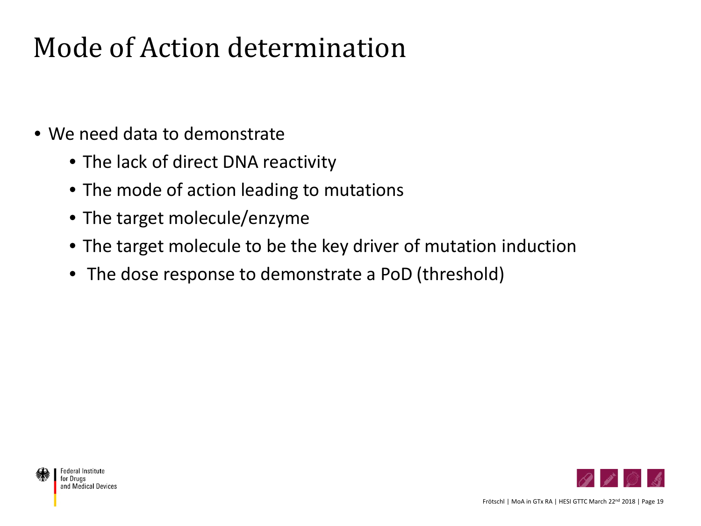#### Mode of Action determination

- We need data to demonstrate
	- The lack of direct DNA reactivity
	- The mode of action leading to mutations
	- The target molecule/enzyme
	- The target molecule to be the key driver of mutation induction
	- The dose response to demonstrate a PoD (threshold)



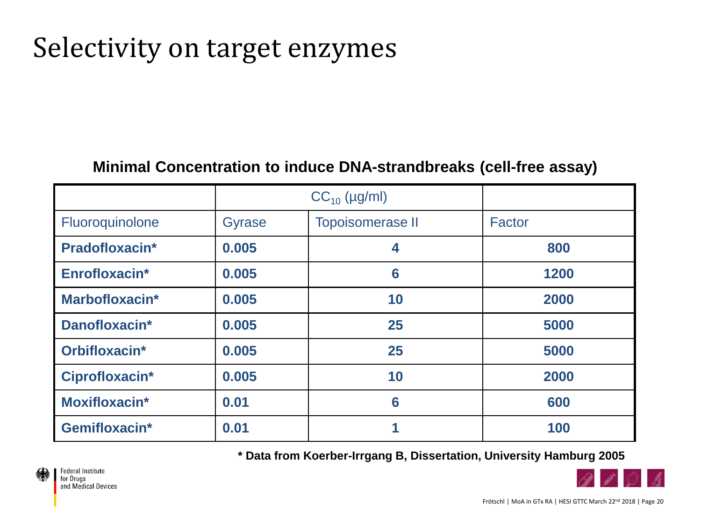#### Selectivity on target enzymes

#### **Minimal Concentration to induce DNA-strandbreaks (cell-free assay)**

|                 | $CC_{10}$ (µg/ml) |                         |        |
|-----------------|-------------------|-------------------------|--------|
| Fluoroquinolone | <b>Gyrase</b>     | <b>Topoisomerase II</b> | Factor |
| Pradofloxacin*  | 0.005             | 4                       | 800    |
| Enrofloxacin*   | 0.005             | 6                       | 1200   |
| Marbofloxacin*  | 0.005             | 10                      | 2000   |
| Danofloxacin*   | 0.005             | 25                      | 5000   |
| Orbifloxacin*   | 0.005             | 25                      | 5000   |
| Ciprofloxacin*  | 0.005             | 10                      | 2000   |
| Moxifloxacin*   | 0.01              | 6                       | 600    |
| Gemifloxacin*   | 0.01              |                         | 100    |

**\* Data from Koerber-Irrgang B, Dissertation, University Hamburg 2005** 

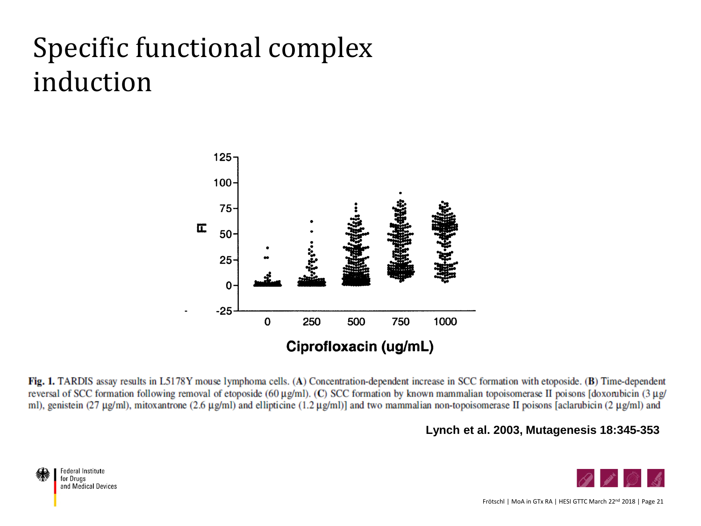#### Specific functional complex induction



Fig. 1. TARDIS assay results in L5178Y mouse lymphoma cells. (A) Concentration-dependent increase in SCC formation with etoposide. (B) Time-dependent reversal of SCC formation following removal of etoposide (60 μg/ml). (C) SCC formation by known mammalian topoisomerase II poisons [doxorubicin (3 μg/ ml), genistein (27 μg/ml), mitoxantrone (2.6 μg/ml) and ellipticine (1.2 μg/ml)] and two mammalian non-topoisomerase II poisons [aclarubicin (2 μg/ml) and

**Lynch et al. 2003, Mutagenesis 18:345-353**

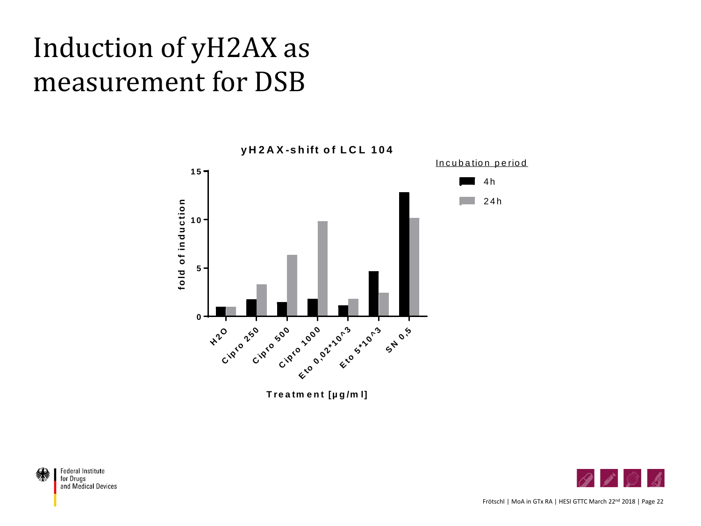#### Induction of yH2AX as measurement for DSB





Frötschl | MoA in GTx RA | HESI GTTC March 22<sup>nd</sup> 2018 | Page 22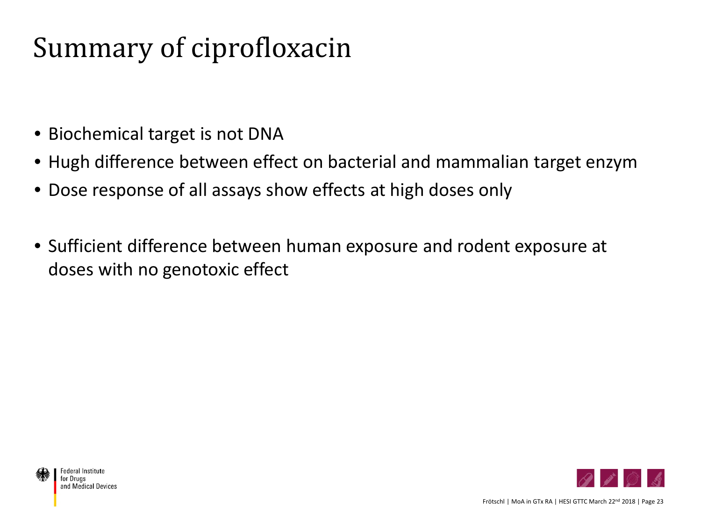#### Summary of ciprofloxacin

- Biochemical target is not DNA
- Hugh difference between effect on bacterial and mammalian target enzym
- Dose response of all assays show effects at high doses only
- Sufficient difference between human exposure and rodent exposure at doses with no genotoxic effect

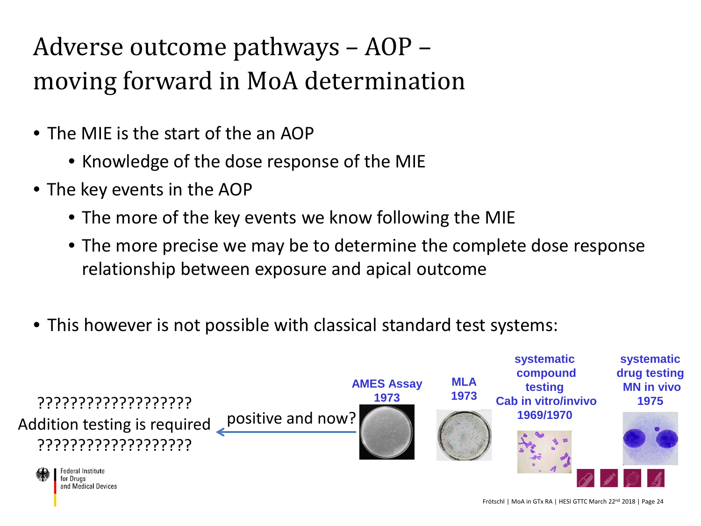#### Adverse outcome pathways – AOP – moving forward in MoA determination

- The MIE is the start of the an AOP
	- Knowledge of the dose response of the MIE
- The key events in the AOP
	- The more of the key events we know following the MIE
	- The more precise we may be to determine the complete dose response relationship between exposure and apical outcome
- This however is not possible with classical standard test systems:

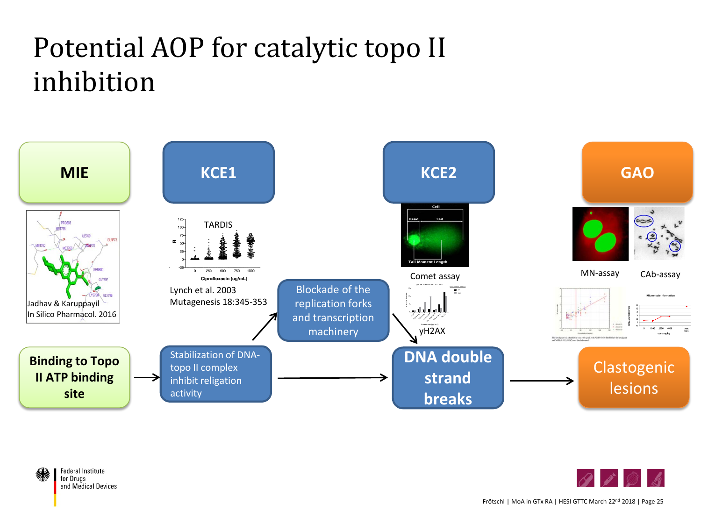#### Potential AOP for catalytic topo II inhibition



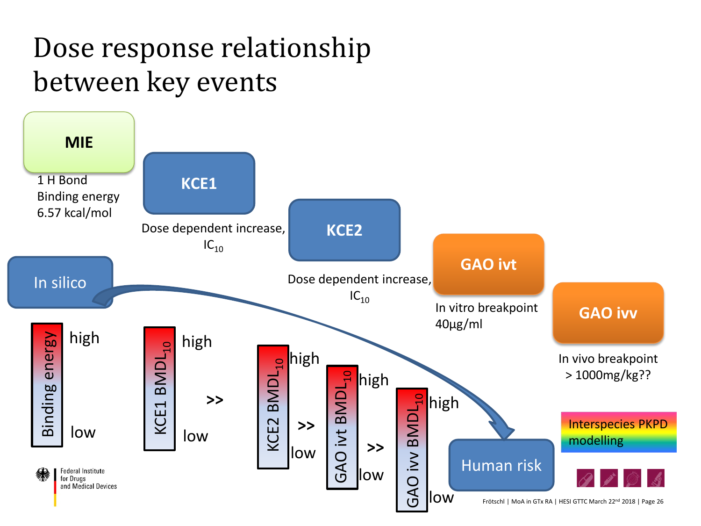#### Dose response relationship between key events

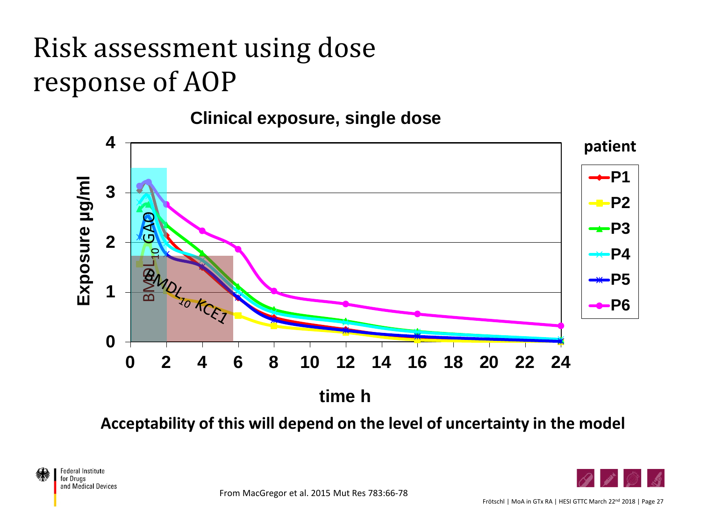## Risk assessment using dose response of AOP

#### **Clinical exposure, single dose**



**Acceptability of this will depend on the level of uncertainty in the model**



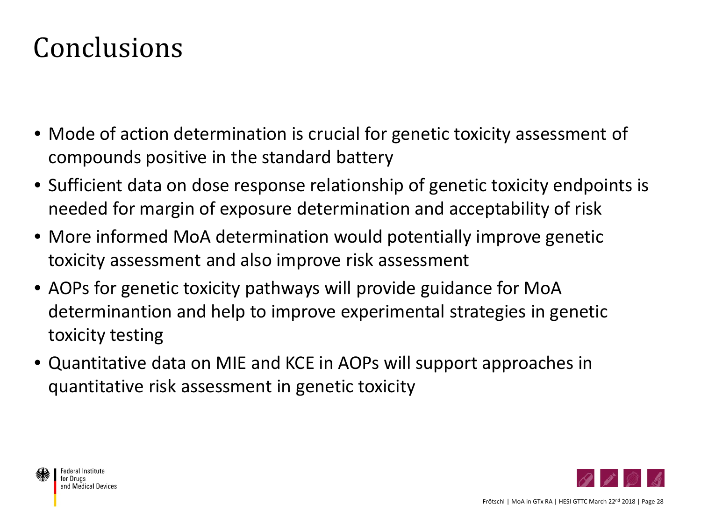#### Conclusions

- Mode of action determination is crucial for genetic toxicity assessment of compounds positive in the standard battery
- Sufficient data on dose response relationship of genetic toxicity endpoints is needed for margin of exposure determination and acceptability of risk
- More informed MoA determination would potentially improve genetic toxicity assessment and also improve risk assessment
- AOPs for genetic toxicity pathways will provide guidance for MoA determinantion and help to improve experimental strategies in genetic toxicity testing
- Quantitative data on MIE and KCE in AOPs will support approaches in quantitative risk assessment in genetic toxicity